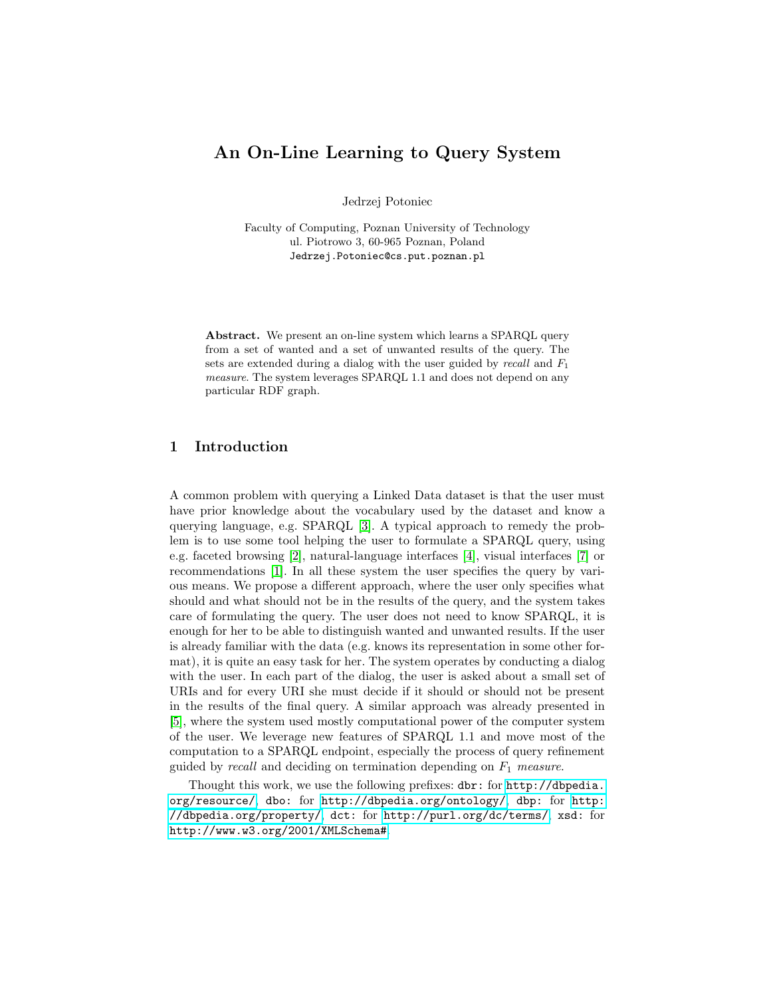# An On-Line Learning to Query System

Jedrzej Potoniec

Faculty of Computing, Poznan University of Technology ul. Piotrowo 3, 60-965 Poznan, Poland Jedrzej.Potoniec@cs.put.poznan.pl

Abstract. We present an on-line system which learns a SPARQL query from a set of wanted and a set of unwanted results of the query. The sets are extended during a dialog with the user guided by recall and  $F_1$ measure. The system leverages SPARQL 1.1 and does not depend on any particular RDF graph.

### 1 Introduction

A common problem with querying a Linked Data dataset is that the user must have prior knowledge about the vocabulary used by the dataset and know a querying language, e.g. SPARQL [\[3\]](#page-3-0). A typical approach to remedy the problem is to use some tool helping the user to formulate a SPARQL query, using e.g. faceted browsing [\[2\]](#page-3-1), natural-language interfaces [\[4\]](#page-3-2), visual interfaces [\[7\]](#page-3-3) or recommendations [\[1\]](#page-3-4). In all these system the user specifies the query by various means. We propose a different approach, where the user only specifies what should and what should not be in the results of the query, and the system takes care of formulating the query. The user does not need to know SPARQL, it is enough for her to be able to distinguish wanted and unwanted results. If the user is already familiar with the data (e.g. knows its representation in some other format), it is quite an easy task for her. The system operates by conducting a dialog with the user. In each part of the dialog, the user is asked about a small set of URIs and for every URI she must decide if it should or should not be present in the results of the final query. A similar approach was already presented in [\[5\]](#page-3-5), where the system used mostly computational power of the computer system of the user. We leverage new features of SPARQL 1.1 and move most of the computation to a SPARQL endpoint, especially the process of query refinement guided by recall and deciding on termination depending on  $F_1$  measure.

Thought this work, we use the following prefixes: dbr: for [http://dbpedia.](http://dbpedia.org/resource/) [org/resource/](http://dbpedia.org/resource/), dbo: for <http://dbpedia.org/ontology/>, dbp: for [http:](http://dbpedia.org/property/) [//dbpedia.org/property/](http://dbpedia.org/property/), dct: for <http://purl.org/dc/terms/>, xsd: for <http://www.w3.org/2001/XMLSchema#>.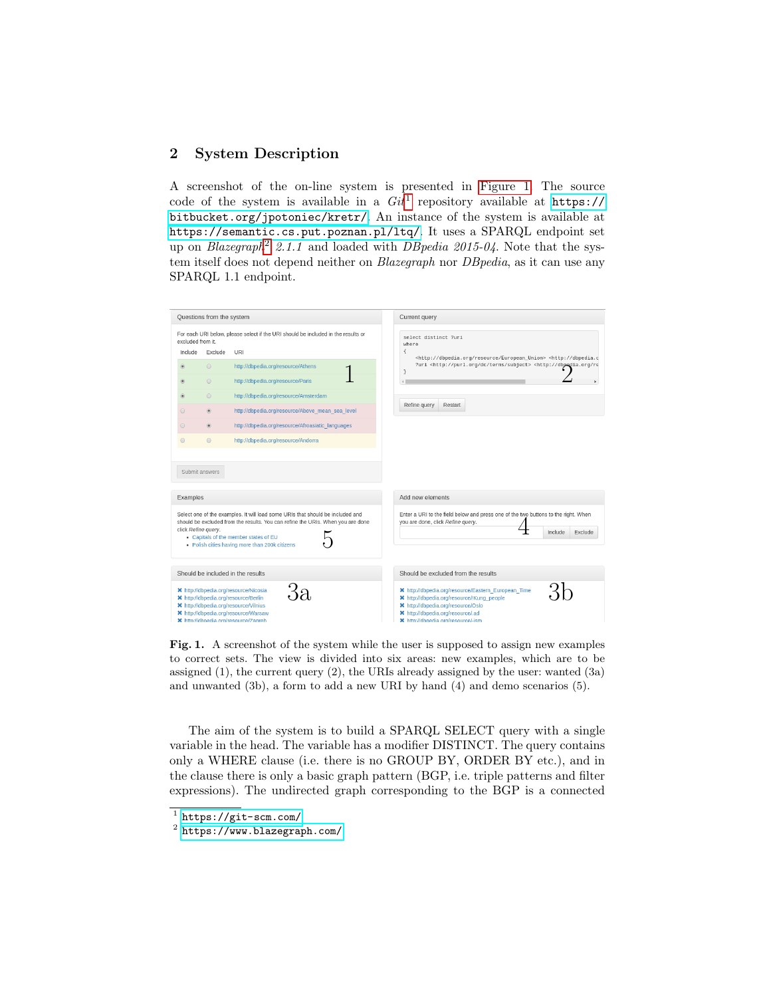## 2 System Description

A screenshot of the on-line system is presented in [Figure 1.](#page-1-0) The source code of the system is available in a  $Git<sup>1</sup>$  $Git<sup>1</sup>$  $Git<sup>1</sup>$  repository available at [https://](https://bitbucket.org/jpotoniec/kretr/) [bitbucket.org/jpotoniec/kretr/](https://bitbucket.org/jpotoniec/kretr/). An instance of the system is available at <https://semantic.cs.put.poznan.pl/ltq/>. It uses a SPARQL endpoint set up on Blazegraph<sup>[2](#page-1-2)</sup> 2.1.1 and loaded with DB pedia 2015-04. Note that the system itself does not depend neither on *Blazegraph* nor *DBpedia*, as it can use any SPARQL 1.1 endpoint.



<span id="page-1-0"></span>Fig. 1. A screenshot of the system while the user is supposed to assign new examples to correct sets. The view is divided into six areas: new examples, which are to be assigned (1), the current query (2), the URIs already assigned by the user: wanted (3a) and unwanted (3b), a form to add a new URI by hand (4) and demo scenarios (5).

The aim of the system is to build a SPARQL SELECT query with a single variable in the head. The variable has a modifier DISTINCT. The query contains only a WHERE clause (i.e. there is no GROUP BY, ORDER BY etc.), and in the clause there is only a basic graph pattern (BGP, i.e. triple patterns and filter expressions). The undirected graph corresponding to the BGP is a connected

<span id="page-1-1"></span><sup>1</sup> <https://git-scm.com/>

<span id="page-1-2"></span> $^2$  <https://www.blazegraph.com/>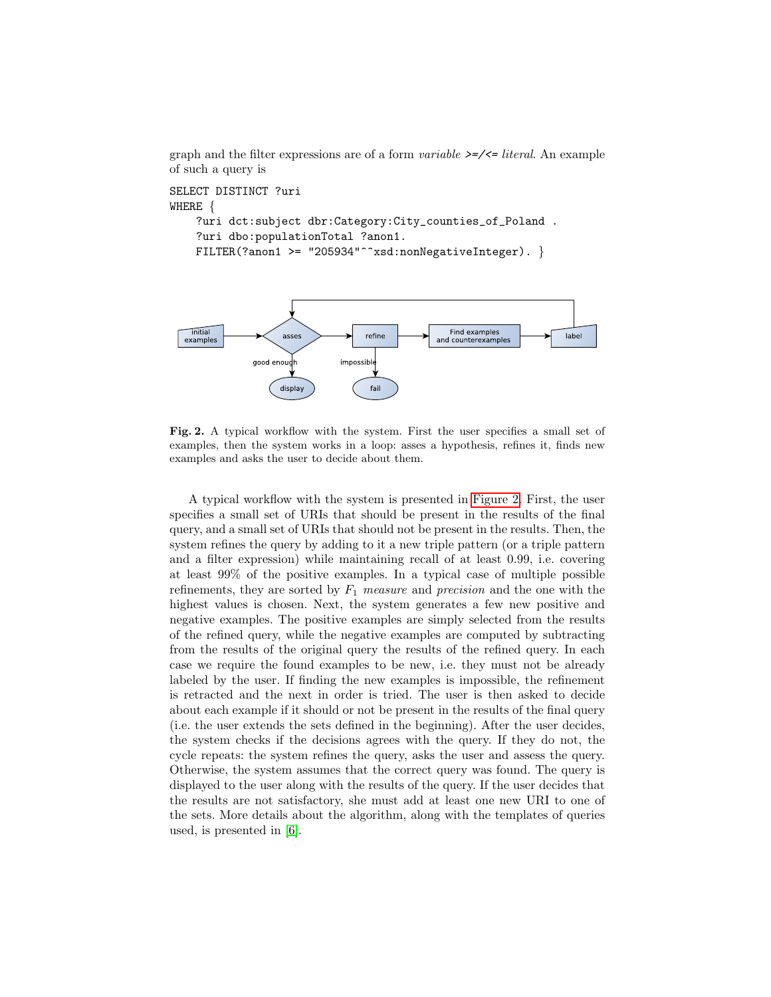graph and the filter expressions are of a form *variable*  $\geq$  $\leq$  *literal*. An example of such a query is

```
SELECT DISTINCT ?uri
WHERE {
    ?uri dct:subject dbr:Category:City_counties_of_Poland .
    ?uri dbo:populationTotal ?anon1.
    FILTER(?anon1 >= "205934"^^xsd:nonNegativeInteger). }
```


<span id="page-2-0"></span>Fig. 2. A typical workflow with the system. First the user specifies a small set of examples, then the system works in a loop: asses a hypothesis, refines it, finds new examples and asks the user to decide about them.

A typical workflow with the system is presented in [Figure 2.](#page-2-0) First, the user specifies a small set of URIs that should be present in the results of the final query, and a small set of URIs that should not be present in the results. Then, the system refines the query by adding to it a new triple pattern (or a triple pattern and a filter expression) while maintaining recall of at least 0.99, i.e. covering at least 99% of the positive examples. In a typical case of multiple possible refinements, they are sorted by  $F_1$  measure and precision and the one with the highest values is chosen. Next, the system generates a few new positive and negative examples. The positive examples are simply selected from the results of the refined query, while the negative examples are computed by subtracting from the results of the original query the results of the refined query. In each case we require the found examples to be new, i.e. they must not be already labeled by the user. If finding the new examples is impossible, the refinement is retracted and the next in order is tried. The user is then asked to decide about each example if it should or not be present in the results of the final query (i.e. the user extends the sets defined in the beginning). After the user decides, the system checks if the decisions agrees with the query. If they do not, the cycle repeats: the system refines the query, asks the user and assess the query. Otherwise, the system assumes that the correct query was found. The query is displayed to the user along with the results of the query. If the user decides that the results are not satisfactory, she must add at least one new URI to one of the sets. More details about the algorithm, along with the templates of queries used, is presented in [\[6\]](#page-3-6).